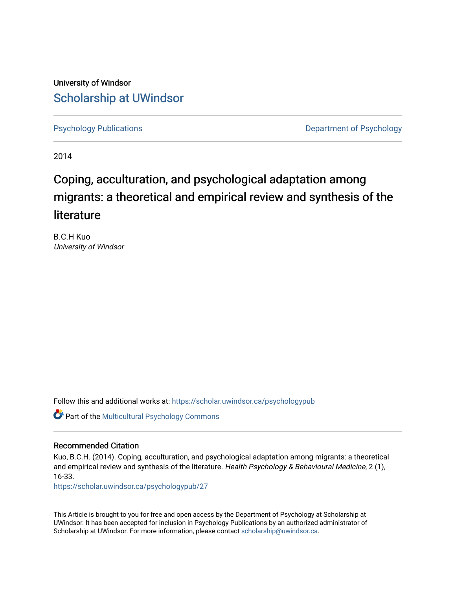University of Windsor [Scholarship at UWindsor](https://scholar.uwindsor.ca/) 

[Psychology Publications](https://scholar.uwindsor.ca/psychologypub) **Department of Psychology** 

2014

# Coping, acculturation, and psychological adaptation among migrants: a theoretical and empirical review and synthesis of the literature

B.C.H Kuo University of Windsor

Follow this and additional works at: [https://scholar.uwindsor.ca/psychologypub](https://scholar.uwindsor.ca/psychologypub?utm_source=scholar.uwindsor.ca%2Fpsychologypub%2F27&utm_medium=PDF&utm_campaign=PDFCoverPages) 

Part of the [Multicultural Psychology Commons](http://network.bepress.com/hgg/discipline/1237?utm_source=scholar.uwindsor.ca%2Fpsychologypub%2F27&utm_medium=PDF&utm_campaign=PDFCoverPages) 

## Recommended Citation

Kuo, B.C.H. (2014). Coping, acculturation, and psychological adaptation among migrants: a theoretical and empirical review and synthesis of the literature. Health Psychology & Behavioural Medicine, 2 (1), 16-33.

[https://scholar.uwindsor.ca/psychologypub/27](https://scholar.uwindsor.ca/psychologypub/27?utm_source=scholar.uwindsor.ca%2Fpsychologypub%2F27&utm_medium=PDF&utm_campaign=PDFCoverPages)

This Article is brought to you for free and open access by the Department of Psychology at Scholarship at UWindsor. It has been accepted for inclusion in Psychology Publications by an authorized administrator of Scholarship at UWindsor. For more information, please contact [scholarship@uwindsor.ca.](mailto:scholarship@uwindsor.ca)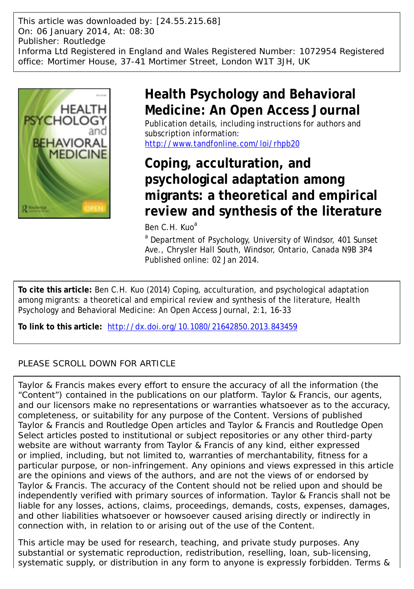This article was downloaded by: [24.55.215.68] On: 06 January 2014, At: 08:30 Publisher: Routledge Informa Ltd Registered in England and Wales Registered Number: 1072954 Registered office: Mortimer House, 37-41 Mortimer Street, London W1T 3JH, UK



# **Health Psychology and Behavioral Medicine: An Open Access Journal**

Publication details, including instructions for authors and subscription information:

<http://www.tandfonline.com/loi/rhpb20>

# **Coping, acculturation, and psychological adaptation among migrants: a theoretical and empirical review and synthesis of the literature**

Ben C.H. Kuo<sup>a</sup>

<sup>a</sup> Department of Psychology, University of Windsor, 401 Sunset Ave., Chrysler Hall South, Windsor, Ontario, Canada N9B 3P4 Published online: 02 Jan 2014.

**To cite this article:** Ben C.H. Kuo (2014) Coping, acculturation, and psychological adaptation among migrants: a theoretical and empirical review and synthesis of the literature, Health Psychology and Behavioral Medicine: An Open Access Journal, 2:1, 16-33

**To link to this article:** <http://dx.doi.org/10.1080/21642850.2013.843459>

# PLEASE SCROLL DOWN FOR ARTICLE

Taylor & Francis makes every effort to ensure the accuracy of all the information (the "Content") contained in the publications on our platform. Taylor & Francis, our agents, and our licensors make no representations or warranties whatsoever as to the accuracy, completeness, or suitability for any purpose of the Content. Versions of published Taylor & Francis and Routledge Open articles and Taylor & Francis and Routledge Open Select articles posted to institutional or subject repositories or any other third-party website are without warranty from Taylor & Francis of any kind, either expressed or implied, including, but not limited to, warranties of merchantability, fitness for a particular purpose, or non-infringement. Any opinions and views expressed in this article are the opinions and views of the authors, and are not the views of or endorsed by Taylor & Francis. The accuracy of the Content should not be relied upon and should be independently verified with primary sources of information. Taylor & Francis shall not be liable for any losses, actions, claims, proceedings, demands, costs, expenses, damages, and other liabilities whatsoever or howsoever caused arising directly or indirectly in connection with, in relation to or arising out of the use of the Content.

This article may be used for research, teaching, and private study purposes. Any substantial or systematic reproduction, redistribution, reselling, loan, sub-licensing, systematic supply, or distribution in any form to anyone is expressly forbidden. Terms &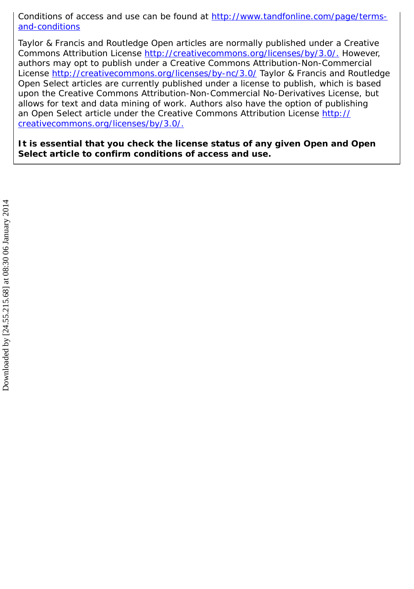Conditions of access and use can be found at [http://www.tandfonline.com/page/terms](http://www.tandfonline.com/page/terms-and-conditions)[and-conditions](http://www.tandfonline.com/page/terms-and-conditions)

Taylor & Francis and Routledge Open articles are normally published under a Creative Commons Attribution License<http://creativecommons.org/licenses/by/3.0/.> However, authors may opt to publish under a Creative Commons Attribution-Non-Commercial License<http://creativecommons.org/licenses/by-nc/3.0/> Taylor & Francis and Routledge Open Select articles are currently published under a license to publish, which is based upon the Creative Commons Attribution-Non-Commercial No-Derivatives License, but allows for text and data mining of work. Authors also have the option of publishing an Open Select article under the Creative Commons Attribution License [http://](http://creativecommons.org/licenses/by/3.0/.) [creativecommons.org/licenses/by/3.0/.](http://creativecommons.org/licenses/by/3.0/.)

**It is essential that you check the license status of any given Open and Open Select article to confirm conditions of access and use.**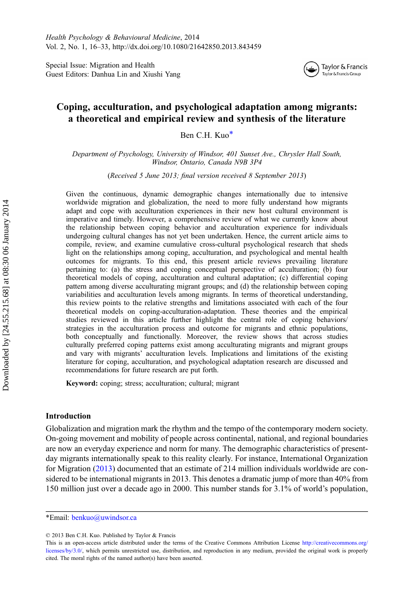Special Issue: Migration and Health Guest Editors: Danhua Lin and Xiushi Yang



## Coping, acculturation, and psychological adaptation among migrants: a theoretical and empirical review and synthesis of the literature

Ben C.H. Kuo\*

Department of Psychology, University of Windsor, 401 Sunset Ave., Chrysler Hall South, Windsor, Ontario, Canada N9B 3P4

(Received 5 June 2013; final version received 8 September 2013)

Given the continuous, dynamic demographic changes internationally due to intensive worldwide migration and globalization, the need to more fully understand how migrants adapt and cope with acculturation experiences in their new host cultural environment is imperative and timely. However, a comprehensive review of what we currently know about the relationship between coping behavior and acculturation experience for individuals undergoing cultural changes has not yet been undertaken. Hence, the current article aims to compile, review, and examine cumulative cross-cultural psychological research that sheds light on the relationships among coping, acculturation, and psychological and mental health outcomes for migrants. To this end, this present article reviews prevailing literature pertaining to: (a) the stress and coping conceptual perspective of acculturation; (b) four theoretical models of coping, acculturation and cultural adaptation; (c) differential coping pattern among diverse acculturating migrant groups; and (d) the relationship between coping variabilities and acculturation levels among migrants. In terms of theoretical understanding, this review points to the relative strengths and limitations associated with each of the four theoretical models on coping-acculturation-adaptation. These theories and the empirical studies reviewed in this article further highlight the central role of coping behaviors/ strategies in the acculturation process and outcome for migrants and ethnic populations, both conceptually and functionally. Moreover, the review shows that across studies culturally preferred coping patterns exist among acculturating migrants and migrant groups and vary with migrants' acculturation levels. Implications and limitations of the existing literature for coping, acculturation, and psychological adaptation research are discussed and recommendations for future research are put forth.

Keyword: coping; stress; acculturation; cultural; migrant

#### Introduction

Globalization and migration mark the rhythm and the tempo of the contemporary modern society. On-going movement and mobility of people across continental, national, and regional boundaries are now an everyday experience and norm for many. The demographic characteristics of presentday migrants internationally speak to this reality clearly. For instance, International Organization for Migration [\(2013](#page-19-0)) documented that an estimate of 214 million individuals worldwide are considered to be international migrants in 2013. This denotes a dramatic jump of more than 40% from 150 million just over a decade ago in 2000. This number stands for 3.1% of world's population,

© 2013 Ben C.H. Kuo. Published by Taylor & Francis

<sup>\*</sup>Email: [benkuo@uwindsor.ca](mailto:benkuo@uwindsor.ca)

This is an open-access article distributed under the terms of the Creative Commons Attribution License [http://creativecommons.org/](http://creativecommons.org/licenses/by/3.0/) [licenses/by/3.0/](http://creativecommons.org/licenses/by/3.0/), which permits unrestricted use, distribution, and reproduction in any medium, provided the original work is properly cited. The moral rights of the named author(s) have been asserted.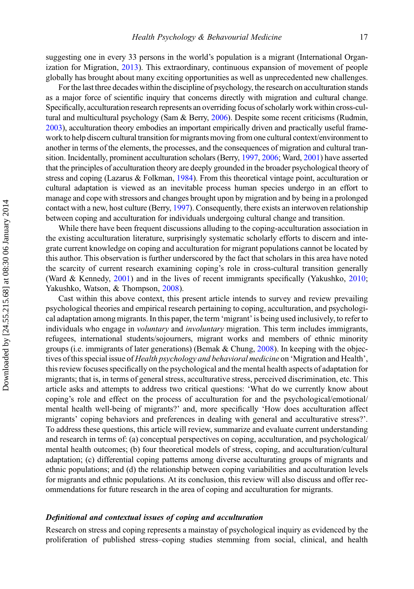suggesting one in every 33 persons in the world's population is a migrant (International Organization for Migration, [2013\)](#page-19-0). This extraordinary, continuous expansion of movement of people globally has brought about many exciting opportunities as well as unprecedented new challenges.

For the last three decades within the discipline of psychology, the research on acculturation stands as a major force of scientific inquiry that concerns directly with migration and cultural change. Specifically, acculturation research represents an overriding focus of scholarly work within cross-cultural and multicultural psychology (Sam & Berry, [2006](#page-19-0)). Despite some recent criticisms (Rudmin, [2003](#page-19-0)), acculturation theory embodies an important empirically driven and practically useful framework to help discern cultural transition for migrants moving from one cultural context/environment to another in terms of the elements, the processes, and the consequences of migration and cultural transition. Incidentally, prominent acculturation scholars (Berry, [1997,](#page-18-0) [2006;](#page-18-0) Ward, [2001\)](#page-20-0) have asserted that the principles of acculturation theory are deeply grounded in the broader psychological theory of stress and coping (Lazarus & Folkman, [1984](#page-19-0)). From this theoretical vintage point, acculturation or cultural adaptation is viewed as an inevitable process human species undergo in an effort to manage and cope with stressors and changes brought upon by migration and by being in a prolonged contact with a new, host culture (Berry, [1997\)](#page-18-0). Consequently, there exists an interwoven relationship between coping and acculturation for individuals undergoing cultural change and transition.

While there have been frequent discussions alluding to the coping-acculturation association in the existing acculturation literature, surprisingly systematic scholarly efforts to discern and integrate current knowledge on coping and acculturation for migrant populations cannot be located by this author. This observation is further underscored by the fact that scholars in this area have noted the scarcity of current research examining coping's role in cross-cultural transition generally (Ward & Kennedy, [2001\)](#page-20-0) and in the lives of recent immigrants specifically (Yakushko, [2010;](#page-20-0) Yakushko, Watson, & Thompson, [2008\)](#page-20-0).

Cast within this above context, this present article intends to survey and review prevailing psychological theories and empirical research pertaining to coping, acculturation, and psychological adaptation among migrants. In this paper, the term 'migrant' is being used inclusively, to refer to individuals who engage in *voluntary* and *involuntary* migration. This term includes immigrants, refugees, international students/sojourners, migrant works and members of ethnic minority groups (i.e. immigrants of later generations) (Bemak & Chung, [2008\)](#page-18-0). In keeping with the objectives of this special issue of Health psychology and behavioral medicine on 'Migration and Health', this review focuses specifically on the psychological and the mental health aspects of adaptation for migrants; that is, in terms of general stress, acculturative stress, perceived discrimination, etc. This article asks and attempts to address two critical questions: 'What do we currently know about coping's role and effect on the process of acculturation for and the psychological/emotional/ mental health well-being of migrants?' and, more specifically 'How does acculturation affect migrants' coping behaviors and preferences in dealing with general and acculturative stress?'. To address these questions, this article will review, summarize and evaluate current understanding and research in terms of: (a) conceptual perspectives on coping, acculturation, and psychological/ mental health outcomes; (b) four theoretical models of stress, coping, and acculturation/cultural adaptation; (c) differential coping patterns among diverse acculturating groups of migrants and ethnic populations; and (d) the relationship between coping variabilities and acculturation levels for migrants and ethnic populations. At its conclusion, this review will also discuss and offer recommendations for future research in the area of coping and acculturation for migrants.

#### Definitional and contextual issues of coping and acculturation

Research on stress and coping represents a mainstay of psychological inquiry as evidenced by the proliferation of published stress–coping studies stemming from social, clinical, and health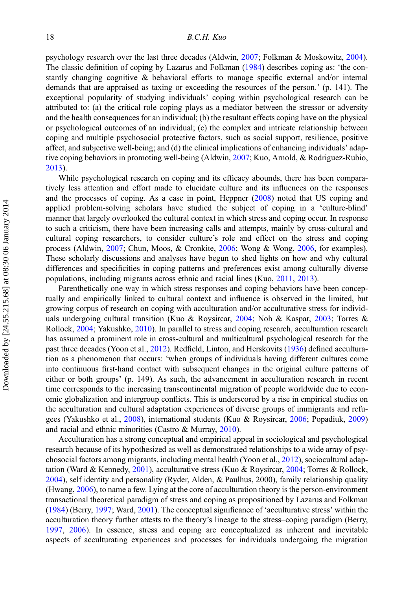psychology research over the last three decades (Aldwin, [2007;](#page-18-0) Folkman & Moskowitz, [2004\)](#page-19-0). The classic definition of coping by Lazarus and Folkman ([1984\)](#page-19-0) describes coping as: 'the constantly changing cognitive & behavioral efforts to manage specific external and/or internal demands that are appraised as taxing or exceeding the resources of the person.' (p. 141). The exceptional popularity of studying individuals' coping within psychological research can be attributed to: (a) the critical role coping plays as a mediator between the stressor or adversity and the health consequences for an individual; (b) the resultant effects coping have on the physical or psychological outcomes of an individual; (c) the complex and intricate relationship between coping and multiple psychosocial protective factors, such as social support, resilience, positive affect, and subjective well-being; and (d) the clinical implications of enhancing individuals' adaptive coping behaviors in promoting well-being (Aldwin, [2007;](#page-18-0) Kuo, Arnold, & Rodriguez-Rubio, [2013\)](#page-19-0).

While psychological research on coping and its efficacy abounds, there has been comparatively less attention and effort made to elucidate culture and its influences on the responses and the processes of coping. As a case in point, Heppner [\(2008](#page-19-0)) noted that US coping and applied problem-solving scholars have studied the subject of coping in a 'culture-blind' manner that largely overlooked the cultural context in which stress and coping occur. In response to such a criticism, there have been increasing calls and attempts, mainly by cross-cultural and cultural coping researchers, to consider culture's role and effect on the stress and coping process (Aldwin, [2007;](#page-18-0) Chun, Moos, & Cronkite, [2006;](#page-19-0) Wong & Wong, [2006,](#page-20-0) for examples). These scholarly discussions and analyses have begun to shed lights on how and why cultural differences and specificities in coping patterns and preferences exist among culturally diverse populations, including migrants across ethnic and racial lines (Kuo, [2011](#page-19-0), [2013\)](#page-19-0).

Parenthetically one way in which stress responses and coping behaviors have been conceptually and empirically linked to cultural context and influence is observed in the limited, but growing corpus of research on coping with acculturation and/or acculturative stress for individuals undergoing cultural transition (Kuo & Roysircar, [2004;](#page-19-0) Noh & Kaspar, [2003;](#page-19-0) Torres & Rollock, [2004](#page-20-0); Yakushko, [2010](#page-20-0)). In parallel to stress and coping research, acculturation research has assumed a prominent role in cross-cultural and multicultural psychological research for the past three decades (Yoon et al., [2012](#page-20-0)). Redfield, Linton, and Herskovits [\(1936](#page-19-0)) defined acculturation as a phenomenon that occurs: 'when groups of individuals having different cultures come into continuous first-hand contact with subsequent changes in the original culture patterns of either or both groups' (p. 149). As such, the advancement in acculturation research in recent time corresponds to the increasing transcontinental migration of people worldwide due to economic globalization and intergroup conflicts. This is underscored by a rise in empirical studies on the acculturation and cultural adaptation experiences of diverse groups of immigrants and refugees (Yakushko et al., [2008\)](#page-20-0), international students (Kuo & Roysircar, [2006;](#page-19-0) Popadiuk, [2009](#page-19-0)) and racial and ethnic minorities (Castro & Murray, [2010\)](#page-19-0).

Acculturation has a strong conceptual and empirical appeal in sociological and psychological research because of its hypothesized as well as demonstrated relationships to a wide array of psychosocial factors among migrants, including mental health (Yoon et al., [2012\)](#page-20-0), sociocultural adaptation (Ward & Kennedy, [2001\)](#page-20-0), acculturative stress (Kuo & Roysircar, [2004](#page-19-0); Torres & Rollock, [2004\)](#page-20-0), self identity and personality (Ryder, Alden, & Paulhus, 2000), family relationship quality (Hwang, [2006](#page-19-0)), to name a few. Lying at the core of acculturation theory is the person-environment transactional theoretical paradigm of stress and coping as propositioned by Lazarus and Folkman ([1984\)](#page-19-0) (Berry, [1997](#page-18-0); Ward, [2001](#page-20-0)). The conceptual significance of 'acculturative stress' within the acculturation theory further attests to the theory's lineage to the stress–coping paradigm (Berry, [1997,](#page-18-0) [2006\)](#page-18-0). In essence, stress and coping are conceptualized as inherent and inevitable aspects of acculturating experiences and processes for individuals undergoing the migration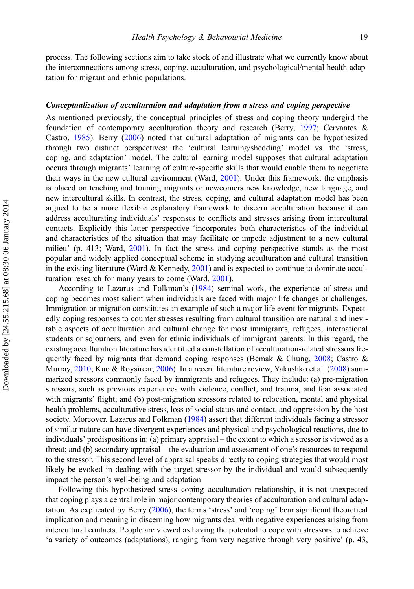process. The following sections aim to take stock of and illustrate what we currently know about the interconnections among stress, coping, acculturation, and psychological/mental health adaptation for migrant and ethnic populations.

#### Conceptualization of acculturation and adaptation from a stress and coping perspective

As mentioned previously, the conceptual principles of stress and coping theory undergird the foundation of contemporary acculturation theory and research (Berry, [1997](#page-18-0); Cervantes & Castro, [1985](#page-19-0)). Berry [\(2006](#page-18-0)) noted that cultural adaptation of migrants can be hypothesized through two distinct perspectives: the 'cultural learning/shedding' model vs. the 'stress, coping, and adaptation' model. The cultural learning model supposes that cultural adaptation occurs through migrants' learning of culture-specific skills that would enable them to negotiate their ways in the new cultural environment (Ward, [2001\)](#page-20-0). Under this framework, the emphasis is placed on teaching and training migrants or newcomers new knowledge, new language, and new intercultural skills. In contrast, the stress, coping, and cultural adaptation model has been argued to be a more flexible explanatory framework to discern acculturation because it can address acculturating individuals' responses to conflicts and stresses arising from intercultural contacts. Explicitly this latter perspective 'incorporates both characteristics of the individual and characteristics of the situation that may facilitate or impede adjustment to a new cultural milieu' (p. 413; Ward, [2001\)](#page-20-0). In fact the stress and coping perspective stands as the most popular and widely applied conceptual scheme in studying acculturation and cultural transition in the existing literature (Ward & Kennedy,  $2001$ ) and is expected to continue to dominate acculturation research for many years to come (Ward, [2001\)](#page-20-0).

According to Lazarus and Folkman's ([1984\)](#page-19-0) seminal work, the experience of stress and coping becomes most salient when individuals are faced with major life changes or challenges. Immigration or migration constitutes an example of such a major life event for migrants. Expectedly coping responses to counter stresses resulting from cultural transition are natural and inevitable aspects of acculturation and cultural change for most immigrants, refugees, international students or sojourners, and even for ethnic individuals of immigrant parents. In this regard, the existing acculturation literature has identified a constellation of acculturation-related stressors frequently faced by migrants that demand coping responses (Bemak & Chung, [2008](#page-18-0); Castro & Murray, [2010;](#page-19-0) Kuo & Roysircar, [2006](#page-19-0)). In a recent literature review, Yakushko et al. [\(2008](#page-20-0)) summarized stressors commonly faced by immigrants and refugees. They include: (a) pre-migration stressors, such as previous experiences with violence, conflict, and trauma, and fear associated with migrants' flight; and (b) post-migration stressors related to relocation, mental and physical health problems, acculturative stress, loss of social status and contact, and oppression by the host society. Moreover, Lazarus and Folkman ([1984\)](#page-19-0) assert that different individuals facing a stressor of similar nature can have divergent experiences and physical and psychological reactions, due to individuals' predispositions in: (a) primary appraisal – the extent to which a stressor is viewed as a threat; and (b) secondary appraisal – the evaluation and assessment of one's resources to respond to the stressor. This second level of appraisal speaks directly to coping strategies that would most likely be evoked in dealing with the target stressor by the individual and would subsequently impact the person's well-being and adaptation.

Following this hypothesized stress–coping–acculturation relationship, it is not unexpected that coping plays a central role in major contemporary theories of acculturation and cultural adaptation. As explicated by Berry ([2006\)](#page-18-0), the terms 'stress' and 'coping' bear significant theoretical implication and meaning in discerning how migrants deal with negative experiences arising from intercultural contacts. People are viewed as having the potential to cope with stressors to achieve 'a variety of outcomes (adaptations), ranging from very negative through very positive' (p. 43,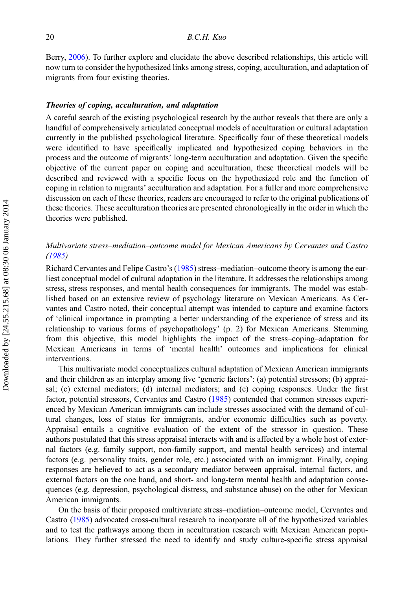Berry, [2006\)](#page-18-0). To further explore and elucidate the above described relationships, this article will now turn to consider the hypothesized links among stress, coping, acculturation, and adaptation of migrants from four existing theories.

#### Theories of coping, acculturation, and adaptation

A careful search of the existing psychological research by the author reveals that there are only a handful of comprehensively articulated conceptual models of acculturation or cultural adaptation currently in the published psychological literature. Specifically four of these theoretical models were identified to have specifically implicated and hypothesized coping behaviors in the process and the outcome of migrants' long-term acculturation and adaptation. Given the specific objective of the current paper on coping and acculturation, these theoretical models will be described and reviewed with a specific focus on the hypothesized role and the function of coping in relation to migrants' acculturation and adaptation. For a fuller and more comprehensive discussion on each of these theories, readers are encouraged to refer to the original publications of these theories. These acculturation theories are presented chronologically in the order in which the theories were published.

## Multivariate stress–mediation–outcome model for Mexican Americans by Cervantes and Castro ([1985\)](#page-19-0)

Richard Cervantes and Felipe Castro's ([1985\)](#page-19-0) stress–mediation–outcome theory is among the earliest conceptual model of cultural adaptation in the literature. It addresses the relationships among stress, stress responses, and mental health consequences for immigrants. The model was established based on an extensive review of psychology literature on Mexican Americans. As Cervantes and Castro noted, their conceptual attempt was intended to capture and examine factors of 'clinical importance in prompting a better understanding of the experience of stress and its relationship to various forms of psychopathology' (p. 2) for Mexican Americans. Stemming from this objective, this model highlights the impact of the stress–coping–adaptation for Mexican Americans in terms of 'mental health' outcomes and implications for clinical interventions.

This multivariate model conceptualizes cultural adaptation of Mexican American immigrants and their children as an interplay among five 'generic factors': (a) potential stressors; (b) appraisal; (c) external mediators; (d) internal mediators; and (e) coping responses. Under the first factor, potential stressors, Cervantes and Castro ([1985\)](#page-19-0) contended that common stresses experienced by Mexican American immigrants can include stresses associated with the demand of cultural changes, loss of status for immigrants, and/or economic difficulties such as poverty. Appraisal entails a cognitive evaluation of the extent of the stressor in question. These authors postulated that this stress appraisal interacts with and is affected by a whole host of external factors (e.g. family support, non-family support, and mental health services) and internal factors (e.g. personality traits, gender role, etc.) associated with an immigrant. Finally, coping responses are believed to act as a secondary mediator between appraisal, internal factors, and external factors on the one hand, and short- and long-term mental health and adaptation consequences (e.g. depression, psychological distress, and substance abuse) on the other for Mexican American immigrants.

On the basis of their proposed multivariate stress–mediation–outcome model, Cervantes and Castro ([1985\)](#page-19-0) advocated cross-cultural research to incorporate all of the hypothesized variables and to test the pathways among them in acculturation research with Mexican American populations. They further stressed the need to identify and study culture-specific stress appraisal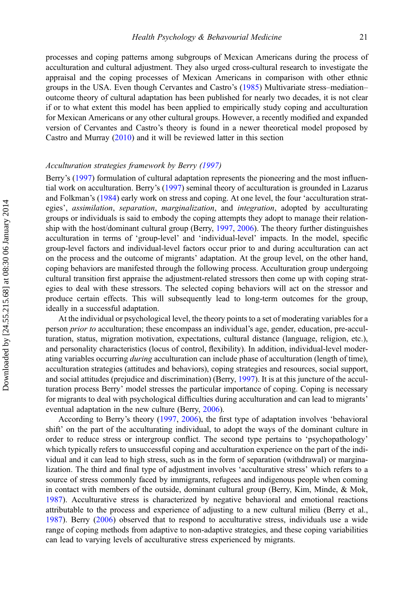processes and coping patterns among subgroups of Mexican Americans during the process of acculturation and cultural adjustment. They also urged cross-cultural research to investigate the appraisal and the coping processes of Mexican Americans in comparison with other ethnic groups in the USA. Even though Cervantes and Castro's ([1985\)](#page-19-0) Multivariate stress–mediation– outcome theory of cultural adaptation has been published for nearly two decades, it is not clear if or to what extent this model has been applied to empirically study coping and acculturation for Mexican Americans or any other cultural groups. However, a recently modified and expanded version of Cervantes and Castro's theory is found in a newer theoretical model proposed by Castro and Murray ([2010\)](#page-19-0) and it will be reviewed latter in this section

## Acculturation strategies framework by Berry ([1997\)](#page-18-0)

Berry's ([1997\)](#page-18-0) formulation of cultural adaptation represents the pioneering and the most influential work on acculturation. Berry's [\(1997](#page-18-0)) seminal theory of acculturation is grounded in Lazarus and Folkman's ([1984\)](#page-19-0) early work on stress and coping. At one level, the four 'acculturation strategies', assimilation, separation, marginalization, and integration, adopted by acculturating groups or individuals is said to embody the coping attempts they adopt to manage their relationship with the host/dominant cultural group (Berry, [1997,](#page-18-0) [2006\)](#page-18-0). The theory further distinguishes acculturation in terms of 'group-level' and 'individual-level' impacts. In the model, specific group-level factors and individual-level factors occur prior to and during acculturation can act on the process and the outcome of migrants' adaptation. At the group level, on the other hand, coping behaviors are manifested through the following process. Acculturation group undergoing cultural transition first appraise the adjustment-related stressors then come up with coping strategies to deal with these stressors. The selected coping behaviors will act on the stressor and produce certain effects. This will subsequently lead to long-term outcomes for the group, ideally in a successful adaptation.

At the individual or psychological level, the theory points to a set of moderating variables for a person prior to acculturation; these encompass an individual's age, gender, education, pre-acculturation, status, migration motivation, expectations, cultural distance (language, religion, etc.), and personality characteristics (locus of control, flexibility). In addition, individual-level moderating variables occurring during acculturation can include phase of acculturation (length of time), acculturation strategies (attitudes and behaviors), coping strategies and resources, social support, and social attitudes (prejudice and discrimination) (Berry, [1997\)](#page-18-0). It is at this juncture of the acculturation process Berry' model stresses the particular importance of coping. Coping is necessary for migrants to deal with psychological difficulties during acculturation and can lead to migrants' eventual adaptation in the new culture (Berry, [2006\)](#page-18-0).

According to Berry's theory [\(1997](#page-18-0), [2006](#page-18-0)), the first type of adaptation involves 'behavioral shift' on the part of the acculturating individual, to adopt the ways of the dominant culture in order to reduce stress or intergroup conflict. The second type pertains to 'psychopathology' which typically refers to unsuccessful coping and acculturation experience on the part of the individual and it can lead to high stress, such as in the form of separation (withdrawal) or marginalization. The third and final type of adjustment involves 'acculturative stress' which refers to a source of stress commonly faced by immigrants, refugees and indigenous people when coming in contact with members of the outside, dominant cultural group (Berry, Kim, Minde, & Mok, [1987\)](#page-19-0). Acculturative stress is characterized by negative behavioral and emotional reactions attributable to the process and experience of adjusting to a new cultural milieu (Berry et al., [1987\)](#page-19-0). Berry ([2006\)](#page-18-0) observed that to respond to acculturative stress, individuals use a wide range of coping methods from adaptive to non-adaptive strategies, and these coping variabilities can lead to varying levels of acculturative stress experienced by migrants.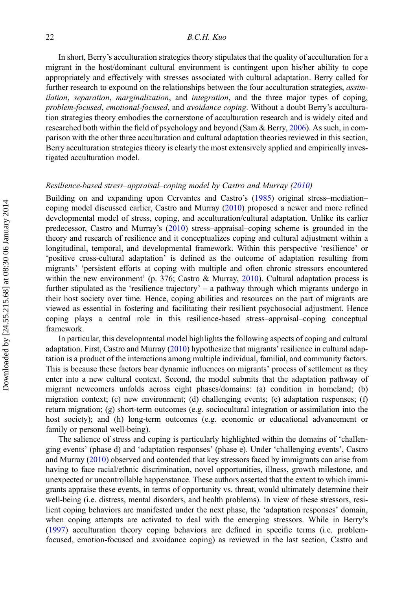#### 22 B.C.H. Kuo

In short, Berry's acculturation strategies theory stipulates that the quality of acculturation for a migrant in the host/dominant cultural environment is contingent upon his/her ability to cope appropriately and effectively with stresses associated with cultural adaptation. Berry called for further research to expound on the relationships between the four acculturation strategies, *assim*ilation, separation, marginalization, and integration, and the three major types of coping, problem-focused, emotional-focused, and avoidance coping. Without a doubt Berry's acculturation strategies theory embodies the cornerstone of acculturation research and is widely cited and researched both within the field of psychology and beyond (Sam  $\&$  Berry, [2006\)](#page-19-0). As such, in comparison with the other three acculturation and cultural adaptation theories reviewed in this section, Berry acculturation strategies theory is clearly the most extensively applied and empirically investigated acculturation model.

#### Resilience-based stress–appraisal–coping model by Castro and Murray [\(2010](#page-19-0))

Building on and expanding upon Cervantes and Castro's [\(1985](#page-19-0)) original stress–mediation– coping model discussed earlier, Castro and Murray [\(2010](#page-19-0)) proposed a newer and more refined developmental model of stress, coping, and acculturation/cultural adaptation. Unlike its earlier predecessor, Castro and Murray's ([2010\)](#page-19-0) stress–appraisal–coping scheme is grounded in the theory and research of resilience and it conceptualizes coping and cultural adjustment within a longitudinal, temporal, and developmental framework. Within this perspective 'resilience' or 'positive cross-cultural adaptation' is defined as the outcome of adaptation resulting from migrants' 'persistent efforts at coping with multiple and often chronic stressors encountered within the new environment' (p. 376; Castro & Murray, [2010](#page-19-0)). Cultural adaptation process is further stipulated as the 'resilience trajectory' – a pathway through which migrants undergo in their host society over time. Hence, coping abilities and resources on the part of migrants are viewed as essential in fostering and facilitating their resilient psychosocial adjustment. Hence coping plays a central role in this resilience-based stress–appraisal–coping conceptual framework.

In particular, this developmental model highlights the following aspects of coping and cultural adaptation. First, Castro and Murray ([2010\)](#page-19-0) hypothesize that migrants' resilience in cultural adaptation is a product of the interactions among multiple individual, familial, and community factors. This is because these factors bear dynamic influences on migrants' process of settlement as they enter into a new cultural context. Second, the model submits that the adaptation pathway of migrant newcomers unfolds across eight phases/domains: (a) condition in homeland; (b) migration context; (c) new environment; (d) challenging events; (e) adaptation responses; (f) return migration; (g) short-term outcomes (e.g. sociocultural integration or assimilation into the host society); and (h) long-term outcomes (e.g. economic or educational advancement or family or personal well-being).

The salience of stress and coping is particularly highlighted within the domains of 'challenging events' (phase d) and 'adaptation responses' (phase e). Under 'challenging events', Castro and Murray [\(2010](#page-19-0)) observed and contended that key stressors faced by immigrants can arise from having to face racial/ethnic discrimination, novel opportunities, illness, growth milestone, and unexpected or uncontrollable happenstance. These authors asserted that the extent to which immigrants appraise these events, in terms of opportunity vs. threat, would ultimately determine their well-being (i.e. distress, mental disorders, and health problems). In view of these stressors, resilient coping behaviors are manifested under the next phase, the 'adaptation responses' domain, when coping attempts are activated to deal with the emerging stressors. While in Berry's ([1997\)](#page-18-0) acculturation theory coping behaviors are defined in specific terms (i.e. problemfocused, emotion-focused and avoidance coping) as reviewed in the last section, Castro and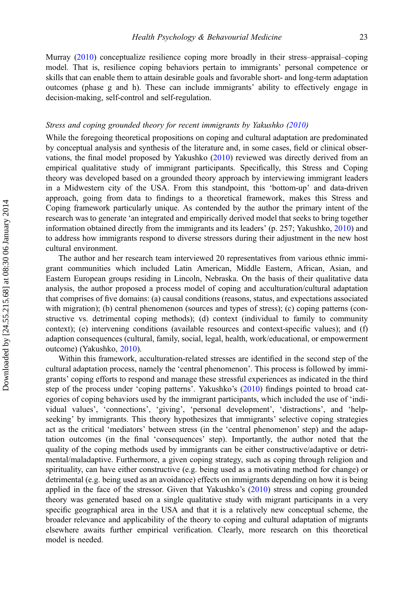Murray ([2010\)](#page-19-0) conceptualize resilience coping more broadly in their stress–appraisal–coping model. That is, resilience coping behaviors pertain to immigrants' personal competence or skills that can enable them to attain desirable goals and favorable short- and long-term adaptation outcomes (phase g and h). These can include immigrants' ability to effectively engage in decision-making, self-control and self-regulation.

#### Stress and coping grounded theory for recent immigrants by Yakushko ([2010\)](#page-20-0)

While the foregoing theoretical propositions on coping and cultural adaptation are predominated by conceptual analysis and synthesis of the literature and, in some cases, field or clinical observations, the final model proposed by Yakushko [\(2010](#page-20-0)) reviewed was directly derived from an empirical qualitative study of immigrant participants. Specifically, this Stress and Coping theory was developed based on a grounded theory approach by interviewing immigrant leaders in a Midwestern city of the USA. From this standpoint, this 'bottom-up' and data-driven approach, going from data to findings to a theoretical framework, makes this Stress and Coping framework particularly unique. As contended by the author the primary intent of the research was to generate 'an integrated and empirically derived model that seeks to bring together information obtained directly from the immigrants and its leaders' (p. 257; Yakushko, [2010](#page-20-0)) and to address how immigrants respond to diverse stressors during their adjustment in the new host cultural environment.

The author and her research team interviewed 20 representatives from various ethnic immigrant communities which included Latin American, Middle Eastern, African, Asian, and Eastern European groups residing in Lincoln, Nebraska. On the basis of their qualitative data analysis, the author proposed a process model of coping and acculturation/cultural adaptation that comprises of five domains: (a) causal conditions (reasons, status, and expectations associated with migration); (b) central phenomenon (sources and types of stress); (c) coping patterns (constructive vs. detrimental coping methods); (d) context (individual to family to community context); (e) intervening conditions (available resources and context-specific values); and (f) adaption consequences (cultural, family, social, legal, health, work/educational, or empowerment outcome) (Yakushko, [2010](#page-20-0)).

Within this framework, acculturation-related stresses are identified in the second step of the cultural adaptation process, namely the 'central phenomenon'. This process is followed by immigrants' coping efforts to respond and manage these stressful experiences as indicated in the third step of the process under 'coping patterns'. Yakushko's ([2010\)](#page-20-0) findings pointed to broad categories of coping behaviors used by the immigrant participants, which included the use of 'individual values', 'connections', 'giving', 'personal development', 'distractions', and 'helpseeking' by immigrants. This theory hypothesizes that immigrants' selective coping strategies act as the critical 'mediators' between stress (in the 'central phenomenon' step) and the adaptation outcomes (in the final 'consequences' step). Importantly, the author noted that the quality of the coping methods used by immigrants can be either constructive/adaptive or detrimental/maladaptive. Furthermore, a given coping strategy, such as coping through religion and spirituality, can have either constructive (e.g. being used as a motivating method for change) or detrimental (e.g. being used as an avoidance) effects on immigrants depending on how it is being applied in the face of the stressor. Given that Yakushko's [\(2010](#page-20-0)) stress and coping grounded theory was generated based on a single qualitative study with migrant participants in a very specific geographical area in the USA and that it is a relatively new conceptual scheme, the broader relevance and applicability of the theory to coping and cultural adaptation of migrants elsewhere awaits further empirical verification. Clearly, more research on this theoretical model is needed.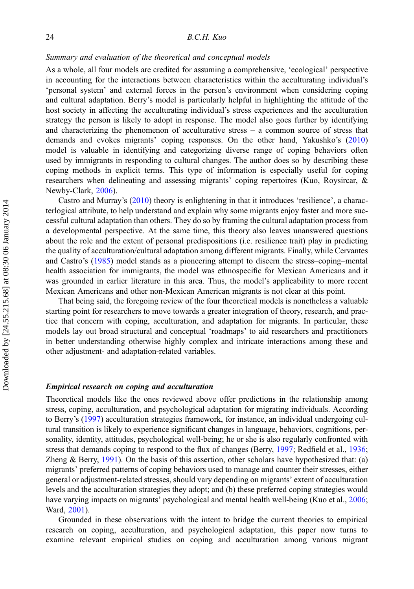#### Summary and evaluation of the theoretical and conceptual models

As a whole, all four models are credited for assuming a comprehensive, 'ecological' perspective in accounting for the interactions between characteristics within the acculturating individual's 'personal system' and external forces in the person's environment when considering coping and cultural adaptation. Berry's model is particularly helpful in highlighting the attitude of the host society in affecting the acculturating individual's stress experiences and the acculturation strategy the person is likely to adopt in response. The model also goes further by identifying and characterizing the phenomenon of acculturative stress – a common source of stress that demands and evokes migrants' coping responses. On the other hand, Yakushko's [\(2010](#page-20-0)) model is valuable in identifying and categorizing diverse range of coping behaviors often used by immigrants in responding to cultural changes. The author does so by describing these coping methods in explicit terms. This type of information is especially useful for coping researchers when delineating and assessing migrants' coping repertoires (Kuo, Roysircar, & Newby-Clark, [2006](#page-19-0)).

Castro and Murray's [\(2010\)](#page-19-0) theory is enlightening in that it introduces 'resilience', a characterlogical attribute, to help understand and explain why some migrants enjoy faster and more successful cultural adaptation than others. They do so by framing the cultural adaptation process from a developmental perspective. At the same time, this theory also leaves unanswered questions about the role and the extent of personal predispositions (i.e. resilience trait) play in predicting the quality of acculturation/cultural adaptation among different migrants. Finally, while Cervantes and Castro's ([1985\)](#page-19-0) model stands as a pioneering attempt to discern the stress–coping–mental health association for immigrants, the model was ethnospecific for Mexican Americans and it was grounded in earlier literature in this area. Thus, the model's applicability to more recent Mexican Americans and other non-Mexican American migrants is not clear at this point.

That being said, the foregoing review of the four theoretical models is nonetheless a valuable starting point for researchers to move towards a greater integration of theory, research, and practice that concern with coping, acculturation, and adaptation for migrants. In particular, these models lay out broad structural and conceptual 'roadmaps' to aid researchers and practitioners in better understanding otherwise highly complex and intricate interactions among these and other adjustment- and adaptation-related variables.

#### Empirical research on coping and acculturation

Theoretical models like the ones reviewed above offer predictions in the relationship among stress, coping, acculturation, and psychological adaptation for migrating individuals. According to Berry's ([1997](#page-18-0)) acculturation strategies framework, for instance, an individual undergoing cultural transition is likely to experience significant changes in language, behaviors, cognitions, personality, identity, attitudes, psychological well-being; he or she is also regularly confronted with stress that demands coping to respond to the flux of changes (Berry, [1997](#page-18-0); Redfield et al., [1936;](#page-19-0) Zheng & Berry,  $1991$ ). On the basis of this assertion, other scholars have hypothesized that: (a) migrants' preferred patterns of coping behaviors used to manage and counter their stresses, either general or adjustment-related stresses, should vary depending on migrants' extent of acculturation levels and the acculturation strategies they adopt; and (b) these preferred coping strategies would have varying impacts on migrants' psychological and mental health well-being (Kuo et al., [2006;](#page-19-0) Ward, [2001](#page-20-0)).

Grounded in these observations with the intent to bridge the current theories to empirical research on coping, acculturation, and psychological adaptation, this paper now turns to examine relevant empirical studies on coping and acculturation among various migrant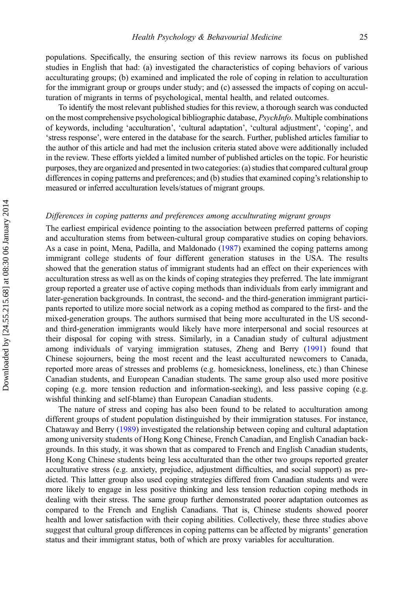populations. Specifically, the ensuring section of this review narrows its focus on published studies in English that had: (a) investigated the characteristics of coping behaviors of various acculturating groups; (b) examined and implicated the role of coping in relation to acculturation for the immigrant group or groups under study; and (c) assessed the impacts of coping on acculturation of migrants in terms of psychological, mental health, and related outcomes.

To identify the most relevant published studies for this review, a thorough search was conducted on the most comprehensive psychological bibliographic database, PsychInfo. Multiple combinations of keywords, including 'acculturation', 'cultural adaptation', 'cultural adjustment', 'coping', and 'stress response', were entered in the database for the search. Further, published articles familiar to the author of this article and had met the inclusion criteria stated above were additionally included in the review. These efforts yielded a limited number of published articles on the topic. For heuristic purposes, they are organized and presented in two categories: (a) studies that compared cultural group differences in coping patterns and preferences; and (b) studies that examined coping's relationship to measured or inferred acculturation levels/statues of migrant groups.

### Differences in coping patterns and preferences among acculturating migrant groups

The earliest empirical evidence pointing to the association between preferred patterns of coping and acculturation stems from between-cultural group comparative studies on coping behaviors. As a case in point, Mena, Padilla, and Maldonado ([1987\)](#page-19-0) examined the coping patterns among immigrant college students of four different generation statuses in the USA. The results showed that the generation status of immigrant students had an effect on their experiences with acculturation stress as well as on the kinds of coping strategies they preferred. The late immigrant group reported a greater use of active coping methods than individuals from early immigrant and later-generation backgrounds. In contrast, the second- and the third-generation immigrant participants reported to utilize more social network as a coping method as compared to the first- and the mixed-generation groups. The authors surmised that being more acculturated in the US secondand third-generation immigrants would likely have more interpersonal and social resources at their disposal for coping with stress. Similarly, in a Canadian study of cultural adjustment among individuals of varying immigration statuses, Zheng and Berry [\(1991](#page-20-0)) found that Chinese sojourners, being the most recent and the least acculturated newcomers to Canada, reported more areas of stresses and problems (e.g. homesickness, loneliness, etc.) than Chinese Canadian students, and European Canadian students. The same group also used more positive coping (e.g. more tension reduction and information-seeking), and less passive coping (e.g. wishful thinking and self-blame) than European Canadian students.

The nature of stress and coping has also been found to be related to acculturation among different groups of student population distinguished by their immigration statuses. For instance, Chataway and Berry [\(1989](#page-19-0)) investigated the relationship between coping and cultural adaptation among university students of Hong Kong Chinese, French Canadian, and English Canadian backgrounds. In this study, it was shown that as compared to French and English Canadian students, Hong Kong Chinese students being less acculturated than the other two groups reported greater acculturative stress (e.g. anxiety, prejudice, adjustment difficulties, and social support) as predicted. This latter group also used coping strategies differed from Canadian students and were more likely to engage in less positive thinking and less tension reduction coping methods in dealing with their stress. The same group further demonstrated poorer adaptation outcomes as compared to the French and English Canadians. That is, Chinese students showed poorer health and lower satisfaction with their coping abilities. Collectively, these three studies above suggest that cultural group differences in coping patterns can be affected by migrants' generation status and their immigrant status, both of which are proxy variables for acculturation.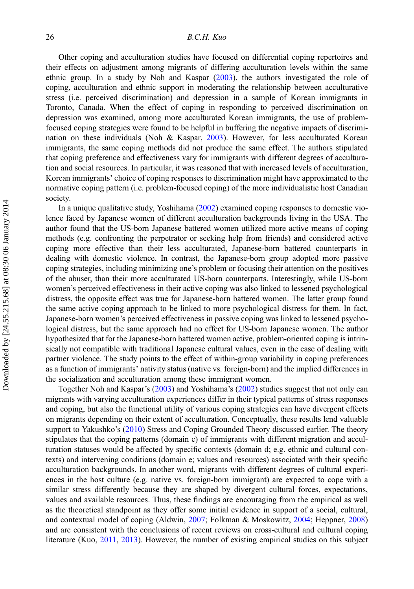Other coping and acculturation studies have focused on differential coping repertoires and their effects on adjustment among migrants of differing acculturation levels within the same ethnic group. In a study by Noh and Kaspar [\(2003\)](#page-19-0), the authors investigated the role of coping, acculturation and ethnic support in moderating the relationship between acculturative stress (i.e. perceived discrimination) and depression in a sample of Korean immigrants in Toronto, Canada. When the effect of coping in responding to perceived discrimination on depression was examined, among more acculturated Korean immigrants, the use of problemfocused coping strategies were found to be helpful in buffering the negative impacts of discrimination on these individuals (Noh & Kaspar, [2003](#page-19-0)). However, for less acculturated Korean immigrants, the same coping methods did not produce the same effect. The authors stipulated that coping preference and effectiveness vary for immigrants with different degrees of acculturation and social resources. In particular, it was reasoned that with increased levels of acculturation, Korean immigrants' choice of coping responses to discrimination might have approximated to the normative coping pattern (i.e. problem-focused coping) of the more individualistic host Canadian society.

In a unique qualitative study, Yoshihama ([2002\)](#page-20-0) examined coping responses to domestic violence faced by Japanese women of different acculturation backgrounds living in the USA. The author found that the US-born Japanese battered women utilized more active means of coping methods (e.g. confronting the perpetrator or seeking help from friends) and considered active coping more effective than their less acculturated, Japanese-born battered counterparts in dealing with domestic violence. In contrast, the Japanese-born group adopted more passive coping strategies, including minimizing one's problem or focusing their attention on the positives of the abuser, than their more acculturated US-born counterparts. Interestingly, while US-born women's perceived effectiveness in their active coping was also linked to lessened psychological distress, the opposite effect was true for Japanese-born battered women. The latter group found the same active coping approach to be linked to more psychological distress for them. In fact, Japanese-born women's perceived effectiveness in passive coping was linked to lessened psychological distress, but the same approach had no effect for US-born Japanese women. The author hypothesized that for the Japanese-born battered women active, problem-oriented coping is intrinsically not compatible with traditional Japanese cultural values, even in the case of dealing with partner violence. The study points to the effect of within-group variability in coping preferences as a function of immigrants' nativity status (native vs. foreign-born) and the implied differences in the socialization and acculturation among these immigrant women.

Together Noh and Kaspar's ([2003\)](#page-19-0) and Yoshihama's ([2002\)](#page-20-0) studies suggest that not only can migrants with varying acculturation experiences differ in their typical patterns of stress responses and coping, but also the functional utility of various coping strategies can have divergent effects on migrants depending on their extent of acculturation. Conceptually, these results lend valuable support to Yakushko's [\(2010\)](#page-20-0) Stress and Coping Grounded Theory discussed earlier. The theory stipulates that the coping patterns (domain c) of immigrants with different migration and acculturation statuses would be affected by specific contexts (domain d; e.g. ethnic and cultural contexts) and intervening conditions (domain e; values and resources) associated with their specific acculturation backgrounds. In another word, migrants with different degrees of cultural experiences in the host culture (e.g. native vs. foreign-born immigrant) are expected to cope with a similar stress differently because they are shaped by divergent cultural forces, expectations, values and available resources. Thus, these findings are encouraging from the empirical as well as the theoretical standpoint as they offer some initial evidence in support of a social, cultural, and contextual model of coping (Aldwin, [2007;](#page-18-0) Folkman & Moskowitz, [2004](#page-19-0); Heppner, [2008](#page-19-0)) and are consistent with the conclusions of recent reviews on cross-cultural and cultural coping literature (Kuo, [2011,](#page-19-0) [2013](#page-19-0)). However, the number of existing empirical studies on this subject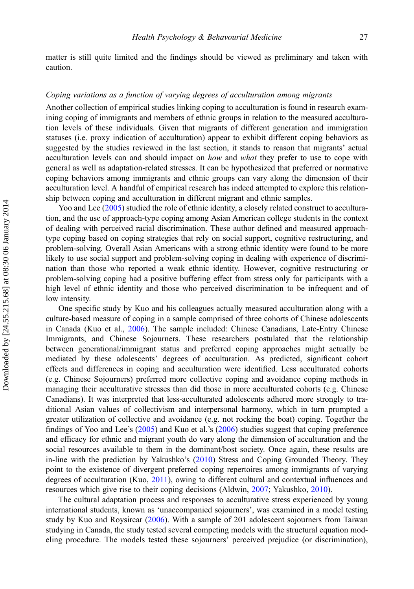matter is still quite limited and the findings should be viewed as preliminary and taken with caution.

### Coping variations as a function of varying degrees of acculturation among migrants

Another collection of empirical studies linking coping to acculturation is found in research examining coping of immigrants and members of ethnic groups in relation to the measured acculturation levels of these individuals. Given that migrants of different generation and immigration statuses (i.e. proxy indication of acculturation) appear to exhibit different coping behaviors as suggested by the studies reviewed in the last section, it stands to reason that migrants' actual acculturation levels can and should impact on *how* and *what* they prefer to use to cope with general as well as adaptation-related stresses. It can be hypothesized that preferred or normative coping behaviors among immigrants and ethnic groups can vary along the dimension of their acculturation level. A handful of empirical research has indeed attempted to explore this relationship between coping and acculturation in different migrant and ethnic samples.

Yoo and Lee [\(2005](#page-20-0)) studied the role of ethnic identity, a closely related construct to acculturation, and the use of approach-type coping among Asian American college students in the context of dealing with perceived racial discrimination. These author defined and measured approachtype coping based on coping strategies that rely on social support, cognitive restructuring, and problem-solving. Overall Asian Americans with a strong ethnic identity were found to be more likely to use social support and problem-solving coping in dealing with experience of discrimination than those who reported a weak ethnic identity. However, cognitive restructuring or problem-solving coping had a positive buffering effect from stress only for participants with a high level of ethnic identity and those who perceived discrimination to be infrequent and of low intensity.

One specific study by Kuo and his colleagues actually measured acculturation along with a culture-based measure of coping in a sample comprised of three cohorts of Chinese adolescents in Canada (Kuo et al., [2006\)](#page-19-0). The sample included: Chinese Canadians, Late-Entry Chinese Immigrants, and Chinese Sojourners. These researchers postulated that the relationship between generational/immigrant status and preferred coping approaches might actually be mediated by these adolescents' degrees of acculturation. As predicted, significant cohort effects and differences in coping and acculturation were identified. Less acculturated cohorts (e.g. Chinese Sojourners) preferred more collective coping and avoidance coping methods in managing their acculturative stresses than did those in more acculturated cohorts (e.g. Chinese Canadians). It was interpreted that less-acculturated adolescents adhered more strongly to traditional Asian values of collectivism and interpersonal harmony, which in turn prompted a greater utilization of collective and avoidance (e.g. not rocking the boat) coping. Together the findings of Yoo and Lee's ([2005\)](#page-20-0) and Kuo et al.'s [\(2006](#page-19-0)) studies suggest that coping preference and efficacy for ethnic and migrant youth do vary along the dimension of acculturation and the social resources available to them in the dominant/host society. Once again, these results are in-line with the prediction by Yakushko's [\(2010](#page-20-0)) Stress and Coping Grounded Theory. They point to the existence of divergent preferred coping repertoires among immigrants of varying degrees of acculturation (Kuo, [2011](#page-19-0)), owing to different cultural and contextual influences and resources which give rise to their coping decisions (Aldwin, [2007;](#page-18-0) Yakushko, [2010\)](#page-20-0).

The cultural adaptation process and responses to acculturative stress experienced by young international students, known as 'unaccompanied sojourners', was examined in a model testing study by Kuo and Roysircar [\(2006](#page-19-0)). With a sample of 201 adolescent sojourners from Taiwan studying in Canada, the study tested several competing models with the structural equation modeling procedure. The models tested these sojourners' perceived prejudice (or discrimination),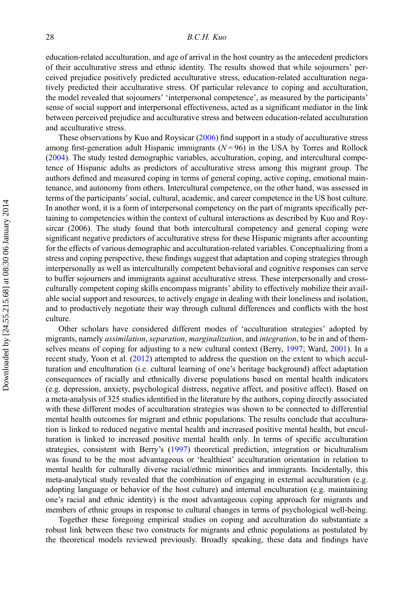#### 28 B.C.H. Kuo

education-related acculturation, and age of arrival in the host country as the antecedent predictors of their acculturative stress and ethnic identity. The results showed that while sojourners' perceived prejudice positively predicted acculturative stress, education-related acculturation negatively predicted their acculturative stress. Of particular relevance to coping and acculturation, the model revealed that sojourners' 'interpersonal competence', as measured by the participants' sense of social support and interpersonal effectiveness, acted as a significant mediator in the link between perceived prejudice and acculturative stress and between education-related acculturation and acculturative stress.

These observations by Kuo and Roysicar [\(2006](#page-19-0)) find support in a study of acculturative stress among first-generation adult Hispanic immigrants  $(N = 96)$  in the USA by Torres and Rollock ([2004\)](#page-20-0). The study tested demographic variables, acculturation, coping, and intercultural competence of Hispanic adults as predictors of acculturative stress among this migrant group. The authors defined and measured coping in terms of general coping, active coping, emotional maintenance, and autonomy from others. Intercultural competence, on the other hand, was assessed in terms of the participants'social, cultural, academic, and career competence in the US host culture. In another word, it is a form of interpersonal competency on the part of migrants specifically pertaining to competencies within the context of cultural interactions as described by Kuo and Roysircar (2006). The study found that both intercultural competency and general coping were significant negative predictors of acculturative stress for these Hispanic migrants after accounting for the effects of various demographic and acculturation-related variables. Conceptualizing from a stress and coping perspective, these findings suggest that adaptation and coping strategies through interpersonally as well as interculturally competent behavioral and cognitive responses can serve to buffer sojourners and immigrants against acculturative stress. These interpersonally and crossculturally competent coping skills encompass migrants' ability to effectively mobilize their available social support and resources, to actively engage in dealing with their loneliness and isolation, and to productively negotiate their way through cultural differences and conflicts with the host culture.

Other scholars have considered different modes of 'acculturation strategies' adopted by migrants, namely *assimilation, separation, marginalization*, and *integration*, to be in and of themselves means of coping for adjusting to a new cultural context (Berry, [1997](#page-18-0); Ward, [2001\)](#page-20-0). In a recent study, Yoon et al. [\(2012](#page-20-0)) attempted to address the question on the extent to which acculturation and enculturation (i.e. cultural learning of one's heritage background) affect adaptation consequences of racially and ethnically diverse populations based on mental health indicators (e.g. depression, anxiety, psychological distress, negative affect, and positive affect). Based on a meta-analysis of 325 studies identified in the literature by the authors, coping directly associated with these different modes of acculturation strategies was shown to be connected to differential mental health outcomes for migrant and ethnic populations. The results conclude that acculturation is linked to reduced negative mental health and increased positive mental health, but enculturation is linked to increased positive mental health only. In terms of specific acculturation strategies, consistent with Berry's [\(1997](#page-18-0)) theoretical prediction, integration or biculturalism was found to be the most advantageous or 'healthiest' acculturation orientation in relation to mental health for culturally diverse racial/ethnic minorities and immigrants. Incidentally, this meta-analytical study revealed that the combination of engaging in external acculturation (e.g. adopting language or behavior of the host culture) and internal enculturation (e.g. maintaining one's racial and ethnic identity) is the most advantageous coping approach for migrants and members of ethnic groups in response to cultural changes in terms of psychological well-being.

Together these foregoing empirical studies on coping and acculturation do substantiate a robust link between these two constructs for migrants and ethnic populations as postulated by the theoretical models reviewed previously. Broadly speaking, these data and findings have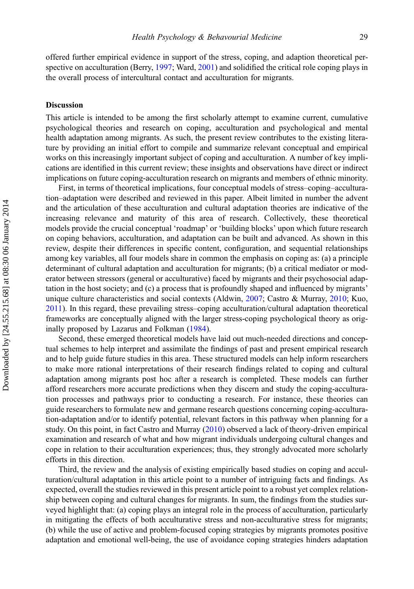offered further empirical evidence in support of the stress, coping, and adaption theoretical per-spective on acculturation (Berry, [1997](#page-18-0); Ward, [2001](#page-20-0)) and solidified the critical role coping plays in the overall process of intercultural contact and acculturation for migrants.

#### Discussion

This article is intended to be among the first scholarly attempt to examine current, cumulative psychological theories and research on coping, acculturation and psychological and mental health adaptation among migrants. As such, the present review contributes to the existing literature by providing an initial effort to compile and summarize relevant conceptual and empirical works on this increasingly important subject of coping and acculturation. A number of key implications are identified in this current review; these insights and observations have direct or indirect implications on future coping-acculturation research on migrants and members of ethnic minority.

First, in terms of theoretical implications, four conceptual models of stress–coping–acculturation–adaptation were described and reviewed in this paper. Albeit limited in number the advent and the articulation of these acculturation and cultural adaptation theories are indicative of the increasing relevance and maturity of this area of research. Collectively, these theoretical models provide the crucial conceptual 'roadmap' or 'building blocks' upon which future research on coping behaviors, acculturation, and adaptation can be built and advanced. As shown in this review, despite their differences in specific content, configuration, and sequential relationships among key variables, all four models share in common the emphasis on coping as: (a) a principle determinant of cultural adaptation and acculturation for migrants; (b) a critical mediator or moderator between stressors (general or acculturative) faced by migrants and their psychosocial adaptation in the host society; and (c) a process that is profoundly shaped and influenced by migrants' unique culture characteristics and social contexts (Aldwin, [2007;](#page-18-0) Castro & Murray, [2010](#page-19-0); Kuo, [2011](#page-19-0)). In this regard, these prevailing stress–coping acculturation/cultural adaptation theoretical frameworks are conceptually aligned with the larger stress-coping psychological theory as originally proposed by Lazarus and Folkman ([1984\)](#page-19-0).

Second, these emerged theoretical models have laid out much-needed directions and conceptual schemes to help interpret and assimilate the findings of past and present empirical research and to help guide future studies in this area. These structured models can help inform researchers to make more rational interpretations of their research findings related to coping and cultural adaptation among migrants post hoc after a research is completed. These models can further afford researchers more accurate predictions when they discern and study the coping-acculturation processes and pathways prior to conducting a research. For instance, these theories can guide researchers to formulate new and germane research questions concerning coping-acculturation-adaptation and/or to identify potential, relevant factors in this pathway when planning for a study. On this point, in fact Castro and Murray ([2010\)](#page-19-0) observed a lack of theory-driven empirical examination and research of what and how migrant individuals undergoing cultural changes and cope in relation to their acculturation experiences; thus, they strongly advocated more scholarly efforts in this direction.

Third, the review and the analysis of existing empirically based studies on coping and acculturation/cultural adaptation in this article point to a number of intriguing facts and findings. As expected, overall the studies reviewed in this present article point to a robust yet complex relationship between coping and cultural changes for migrants. In sum, the findings from the studies surveyed highlight that: (a) coping plays an integral role in the process of acculturation, particularly in mitigating the effects of both acculturative stress and non-acculturative stress for migrants; (b) while the use of active and problem-focused coping strategies by migrants promotes positive adaptation and emotional well-being, the use of avoidance coping strategies hinders adaptation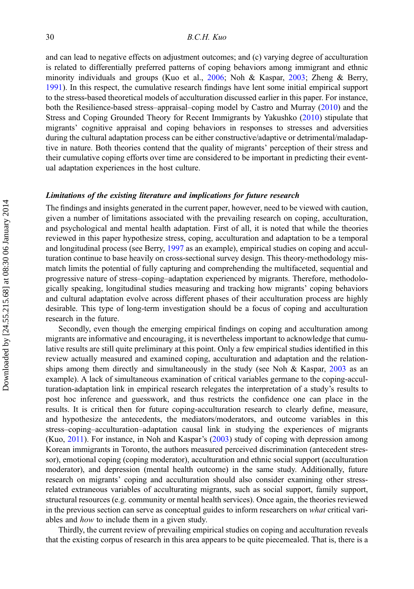#### 30 B.C.H. Kuo

and can lead to negative effects on adjustment outcomes; and (c) varying degree of acculturation is related to differentially preferred patterns of coping behaviors among immigrant and ethnic minority individuals and groups (Kuo et al., [2006](#page-19-0); Noh & Kaspar, [2003](#page-19-0); Zheng & Berry, [1991\)](#page-20-0). In this respect, the cumulative research findings have lent some initial empirical support to the stress-based theoretical models of acculturation discussed earlier in this paper. For instance, both the Resilience-based stress–appraisal–coping model by Castro and Murray ([2010\)](#page-19-0) and the Stress and Coping Grounded Theory for Recent Immigrants by Yakushko ([2010\)](#page-20-0) stipulate that migrants' cognitive appraisal and coping behaviors in responses to stresses and adversities during the cultural adaptation process can be either constructive/adaptive or detrimental/maladaptive in nature. Both theories contend that the quality of migrants' perception of their stress and their cumulative coping efforts over time are considered to be important in predicting their eventual adaptation experiences in the host culture.

#### Limitations of the existing literature and implications for future research

The findings and insights generated in the current paper, however, need to be viewed with caution, given a number of limitations associated with the prevailing research on coping, acculturation, and psychological and mental health adaptation. First of all, it is noted that while the theories reviewed in this paper hypothesize stress, coping, acculturation and adaptation to be a temporal and longitudinal process (see Berry, [1997](#page-18-0) as an example), empirical studies on coping and acculturation continue to base heavily on cross-sectional survey design. This theory-methodology mismatch limits the potential of fully capturing and comprehending the multifaceted, sequential and progressive nature of stress–coping–adaptation experienced by migrants. Therefore, methodologically speaking, longitudinal studies measuring and tracking how migrants' coping behaviors and cultural adaptation evolve across different phases of their acculturation process are highly desirable. This type of long-term investigation should be a focus of coping and acculturation research in the future.

Secondly, even though the emerging empirical findings on coping and acculturation among migrants are informative and encouraging, it is nevertheless important to acknowledge that cumulative results are still quite preliminary at this point. Only a few empirical studies identified in this review actually measured and examined coping, acculturation and adaptation and the relationships among them directly and simultaneously in the study (see Noh & Kaspar,  $2003$  as an example). A lack of simultaneous examination of critical variables germane to the coping-acculturation-adaptation link in empirical research relegates the interpretation of a study's results to post hoc inference and guesswork, and thus restricts the confidence one can place in the results. It is critical then for future coping-acculturation research to clearly define, measure, and hypothesize the antecedents, the mediators/moderators, and outcome variables in this stress–coping–acculturation–adaptation causal link in studying the experiences of migrants (Kuo, [2011](#page-19-0)). For instance, in Noh and Kaspar's [\(2003](#page-19-0)) study of coping with depression among Korean immigrants in Toronto, the authors measured perceived discrimination (antecedent stressor), emotional coping (coping moderator), acculturation and ethnic social support (acculturation moderator), and depression (mental health outcome) in the same study. Additionally, future research on migrants' coping and acculturation should also consider examining other stressrelated extraneous variables of acculturating migrants, such as social support, family support, structural resources (e.g. community or mental health services). Once again, the theories reviewed in the previous section can serve as conceptual guides to inform researchers on what critical variables and how to include them in a given study.

Thirdly, the current review of prevailing empirical studies on coping and acculturation reveals that the existing corpus of research in this area appears to be quite piecemealed. That is, there is a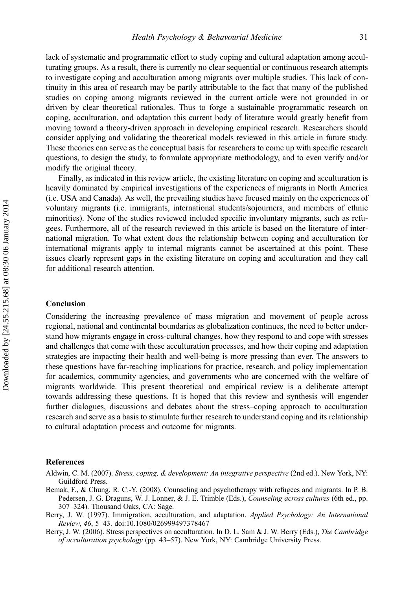<span id="page-18-0"></span>lack of systematic and programmatic effort to study coping and cultural adaptation among acculturating groups. As a result, there is currently no clear sequential or continuous research attempts to investigate coping and acculturation among migrants over multiple studies. This lack of continuity in this area of research may be partly attributable to the fact that many of the published studies on coping among migrants reviewed in the current article were not grounded in or driven by clear theoretical rationales. Thus to forge a sustainable programmatic research on coping, acculturation, and adaptation this current body of literature would greatly benefit from moving toward a theory-driven approach in developing empirical research. Researchers should consider applying and validating the theoretical models reviewed in this article in future study. These theories can serve as the conceptual basis for researchers to come up with specific research questions, to design the study, to formulate appropriate methodology, and to even verify and/or modify the original theory.

Finally, as indicated in this review article, the existing literature on coping and acculturation is heavily dominated by empirical investigations of the experiences of migrants in North America (i.e. USA and Canada). As well, the prevailing studies have focused mainly on the experiences of voluntary migrants (i.e. immigrants, international students/sojourners, and members of ethnic minorities). None of the studies reviewed included specific involuntary migrants, such as refugees. Furthermore, all of the research reviewed in this article is based on the literature of international migration. To what extent does the relationship between coping and acculturation for international migrants apply to internal migrants cannot be ascertained at this point. These issues clearly represent gaps in the existing literature on coping and acculturation and they call for additional research attention.

#### Conclusion

Considering the increasing prevalence of mass migration and movement of people across regional, national and continental boundaries as globalization continues, the need to better understand how migrants engage in cross-cultural changes, how they respond to and cope with stresses and challenges that come with these acculturation processes, and how their coping and adaptation strategies are impacting their health and well-being is more pressing than ever. The answers to these questions have far-reaching implications for practice, research, and policy implementation for academics, community agencies, and governments who are concerned with the welfare of migrants worldwide. This present theoretical and empirical review is a deliberate attempt towards addressing these questions. It is hoped that this review and synthesis will engender further dialogues, discussions and debates about the stress–coping approach to acculturation research and serve as a basis to stimulate further research to understand coping and its relationship to cultural adaptation process and outcome for migrants.

#### References

- Aldwin, C. M. (2007). Stress, coping, & development: An integrative perspective (2nd ed.). New York, NY: Guildford Press.
- Bemak, F., & Chung, R. C.-Y. (2008). Counseling and psychotherapy with refugees and migrants. In P. B. Pedersen, J. G. Draguns, W. J. Lonner, & J. E. Trimble (Eds.), Counseling across cultures (6th ed., pp. 307–324). Thousand Oaks, CA: Sage.
- Berry, J. W. (1997). Immigration, acculturation, and adaptation. Applied Psychology: An International Review, 46, 5–43. doi:10.1080/026999497378467
- Berry, J. W. (2006). Stress perspectives on acculturation. In D. L. Sam & J. W. Berry (Eds.), The Cambridge of acculturation psychology (pp. 43–57). New York, NY: Cambridge University Press.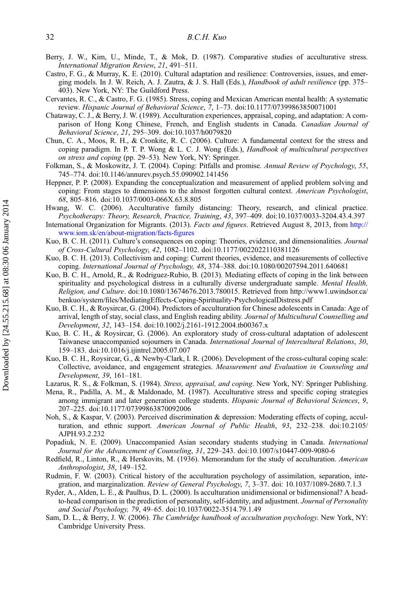- <span id="page-19-0"></span>Berry, J. W., Kim, U., Minde, T., & Mok, D. (1987). Comparative studies of acculturative stress. International Migration Review, 21, 491–511.
- Castro, F. G., & Murray, K. E. (2010). Cultural adaptation and resilience: Controversies, issues, and emerging models. In J. W. Reich, A. J. Zautra, & J. S. Hall (Eds.), Handbook of adult resilience (pp. 375– 403). New York, NY: The Guildford Press.
- Cervantes, R. C., & Castro, F. G. (1985). Stress, coping and Mexican American mental health: A systematic review. Hispanic Journal of Behavioral Science, 7, 1–73. doi:10.1177/07399863850071001
- Chataway, C. J., & Berry, J. W. (1989). Acculturation experiences, appraisal, coping, and adaptation: A comparison of Hong Kong Chinese, French, and English students in Canada. Canadian Journal of Behavioral Science, 21, 295–309. doi:10.1037/h0079820
- Chun, C. A., Moos, R. H., & Cronkite, R. C. (2006). Culture: A fundamental context for the stress and coping paradigm. In P. T. P. Wong & L. C. J. Wong (Eds.), Handbook of multicultural perspectives on stress and coping (pp. 29–53). New York, NY: Springer.
- Folkman, S., & Moskowitz, J. T. (2004). Coping: Pitfalls and promise. Annual Review of Psychology, 55, 745–774. doi:10.1146/annurev.psych.55.090902.141456
- Heppner, P. P. (2008). Expanding the conceptualization and measurement of applied problem solving and coping: From stages to dimensions to the almost forgotten cultural context. American Psychologist, 68, 805–816. doi:10.1037/0003-066X.63.8.805
- Hwang, W. C. (2006). Acculturative family distancing: Theory, research, and clinical practice. Psychotherapy: Theory, Research, Practice, Training, 43, 397–409. doi:10.1037/0033-3204.43.4.397
- International Organization for Migrants. (2013). Facts and figures. Retrieved August 8, 2013, from [http://](http://www.iom.sk/en/about-migration/facts-figures) [www.iom.sk/en/about-migration/facts-](http://www.iom.sk/en/about-migration/facts-figures)figures
- Kuo, B. C. H. (2011). Culture's consequences on coping: Theories, evidence, and dimensionalities. Journal of Cross-Cultural Psychology, 42, 1082–1102. doi:10.1177/0022022110381126
- Kuo, B. C. H. (2013). Collectivism and coping: Current theories, evidence, and measurements of collective coping. International Journal of Psychology, 48, 374–388. doi:10.1080/00207594.2011.640681
- Kuo, B. C. H., Arnold, R., & Rodriguez-Rubio, B. (2013). Mediating effects of coping in the link between spirituality and psychological distress in a culturally diverse undergraduate sample. Mental Health, Religion, and Culture. doi:10.1080/13674676.2013.780015. Retrieved from http://www1.uwindsor.ca/ benkuo/system/files/MediatingEffects-Coping-Spirituality-PsychologicalDistress.pdf
- Kuo, B. C. H., & Roysircar, G. (2004). Predictors of acculturation for Chinese adolescents in Canada: Age of arrival, length of stay, social class, and English reading ability. Journal of Multicultural Counselling and Development, 32, 143–154. doi:10.1002/j.2161-1912.2004.tb00367.x
- Kuo, B. C. H., & Roysircar, G. (2006). An exploratory study of cross-cultural adaptation of adolescent Taiwanese unaccompanied sojourners in Canada. International Journal of Intercultural Relations, 30, 159–183. doi:10.1016/j.ijintrel.2005.07.007
- Kuo, B. C. H., Roysircar, G., & Newby-Clark, I. R. (2006). Development of the cross-cultural coping scale: Collective, avoidance, and engagement strategies. Measurement and Evaluation in Counseling and Development, 39, 161–181.
- Lazarus, R. S., & Folkman, S. (1984). Stress, appraisal, and coping. New York, NY: Springer Publishing.
- Mena, R., Padilla, A. M., & Maldonado, M. (1987). Acculturative stress and specific coping strategies among immigrant and later generation college students. Hispanic Journal of Behavioral Sciences, 9, 207–225. doi:10.1177/07399863870092006
- Noh, S., & Kaspar, V. (2003). Perceived discrimination & depression: Moderating effects of coping, acculturation, and ethnic support. American Journal of Public Health, 93, 232–238. doi:10.2105/ AJPH.93.2.232
- Popadiuk, N. E. (2009). Unaccompanied Asian secondary students studying in Canada. International Journal for the Advancement of Counseling, 31, 229–243. doi:10.1007/s10447-009-9080-6
- Redfield, R., Linton, R., & Herskovits, M. (1936). Memorandum for the study of acculturation. American Anthropologist, 38, 149–152.
- Rudmin, F. W. (2003). Critical history of the acculturation psychology of assimilation, separation, integration, and marginalization. Review of General Psychology, 7, 3–37. doi: 10.1037/1089-2680.7.1.3
- Ryder, A., Alden, L. E., & Paulhus, D. L. (2000). Is acculturation unidimensional or bidimensional? A headto-head comparison in the prediction of personality, self-identity, and adjustment. Journal of Personality and Social Psychology, 79, 49–65. doi:10.1037/0022-3514.79.1.49
- Sam, D. L., & Berry, J. W. (2006). The Cambridge handbook of acculturation psychology. New York, NY: Cambridge University Press.